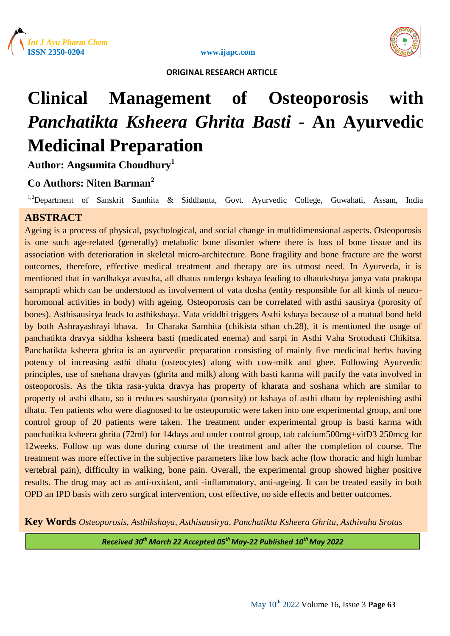





# **Clinical Management of Osteoporosis with**  *Panchatikta Ksheera Ghrita Basti* **- An Ayurvedic Medicinal Preparation**

**Author: Angsumita Choudhury<sup>1</sup>**

# **Co Authors: Niten Barman<sup>2</sup>**

<sup>1,2</sup>Department of Sanskrit Samhita & Siddhanta, Govt. Ayurvedic College, Guwahati, Assam, India

# **ABSTRACT**

Ageing is a process of physical, psychological, and social change in multidimensional aspects. Osteoporosis is one such age-related (generally) metabolic bone disorder where there is loss of bone tissue and its association with deterioration in skeletal micro-architecture. Bone fragility and bone fracture are the worst outcomes, therefore, effective medical treatment and therapy are its utmost need. In Ayurveda, it is mentioned that in vardhakya avastha, all dhatus undergo kshaya leading to dhatukshaya janya vata prakopa samprapti which can be understood as involvement of vata dosha (entity responsible for all kinds of neurohoromonal activities in body) with ageing. Osteoporosis can be correlated with asthi sausirya (porosity of bones). Asthisausirya leads to asthikshaya. Vata vriddhi triggers Asthi kshaya because of a mutual bond held by both Ashrayashrayi bhava. In Charaka Samhita (chikista sthan ch.28), it is mentioned the usage of panchatikta dravya siddha ksheera basti (medicated enema) and sarpi in Asthi Vaha Srotodusti Chikitsa. Panchatikta ksheera ghrita is an ayurvedic preparation consisting of mainly five medicinal herbs having potency of increasing asthi dhatu (osteocytes) along with cow-milk and ghee. Following Ayurvedic principles, use of snehana dravyas (ghrita and milk) along with basti karma will pacify the vata involved in osteoporosis. As the tikta rasa-yukta dravya has property of kharata and soshana which are similar to property of asthi dhatu, so it reduces saushiryata (porosity) or kshaya of asthi dhatu by replenishing asthi dhatu. Ten patients who were diagnosed to be osteoporotic were taken into one experimental group, and one control group of 20 patients were taken. The treatment under experimental group is basti karma with panchatikta ksheera ghrita (72ml) for 14days and under control group, tab calcium500mg+vitD3 250mcg for 12weeks. Follow up was done during course of the treatment and after the completion of course. The treatment was more effective in the subjective parameters like low back ache (low thoracic and high lumbar vertebral pain), difficulty in walking, bone pain. Overall, the experimental group showed higher positive results. The drug may act as anti-oxidant, anti -inflammatory, anti-ageing. It can be treated easily in both OPD an IPD basis with zero surgical intervention, cost effective, no side effects and better outcomes.

**Key Words** *Osteoporosis, Asthikshaya, Asthisausirya, Panchatikta Ksheera Ghrita, Asthivaha Srotas*

*Received 30 th March 22 Accepted 05th May-22 Published 10th May 2022*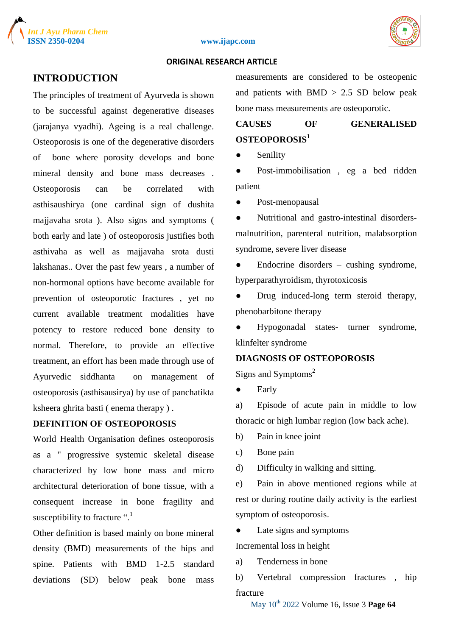





# **INTRODUCTION**

The principles of treatment of Ayurveda is shown to be successful against degenerative diseases (jarajanya vyadhi). Ageing is a real challenge. Osteoporosis is one of the degenerative disorders of bone where porosity develops and bone mineral density and bone mass decreases . Osteoporosis can be correlated with asthisaushirya (one cardinal sign of dushita majjavaha srota ). Also signs and symptoms ( both early and late ) of osteoporosis justifies both asthivaha as well as majjavaha srota dusti lakshanas.. Over the past few years , a number of non-hormonal options have become available for prevention of osteoporotic fractures , yet no current available treatment modalities have potency to restore reduced bone density to normal. Therefore, to provide an effective treatment, an effort has been made through use of Ayurvedic siddhanta on management of osteoporosis (asthisausirya) by use of panchatikta ksheera ghrita basti ( enema therapy ) .

# **DEFINITION OF OSTEOPOROSIS**

World Health Organisation defines osteoporosis as a " progressive systemic skeletal disease characterized by low bone mass and micro architectural deterioration of bone tissue, with a consequent increase in bone fragility and susceptibility to fracture ".<sup>1</sup>

Other definition is based mainly on bone mineral density (BMD) measurements of the hips and spine. Patients with BMD 1-2.5 standard deviations (SD) below peak bone mass

measurements are considered to be osteopenic and patients with  $BMD > 2.5$  SD below peak bone mass measurements are osteoporotic.

# **CAUSES OF GENERALISED OSTEOPOROSIS<sup>1</sup>**

Senility

● Post-immobilisation , eg a bed ridden patient

● Post-menopausal

● Nutritional and gastro-intestinal disordersmalnutrition, parenteral nutrition, malabsorption syndrome, severe liver disease

Endocrine disorders – cushing syndrome, hyperparathyroidism, thyrotoxicosis

• Drug induced-long term steroid therapy, phenobarbitone therapy

● Hypogonadal states- turner syndrome, klinfelter syndrome

## **DIAGNOSIS OF OSTEOPOROSIS**

Signs and Symptoms<sup>2</sup>

● Early

a) Episode of acute pain in middle to low thoracic or high lumbar region (low back ache).

b) Pain in knee joint

c) Bone pain

d) Difficulty in walking and sitting.

e) Pain in above mentioned regions while at rest or during routine daily activity is the earliest symptom of osteoporosis.

• Late signs and symptoms

Incremental loss in height

a) Tenderness in bone

b) Vertebral compression fractures , hip fracture

May 10th 2022 Volume 16, Issue 3 **Page 64**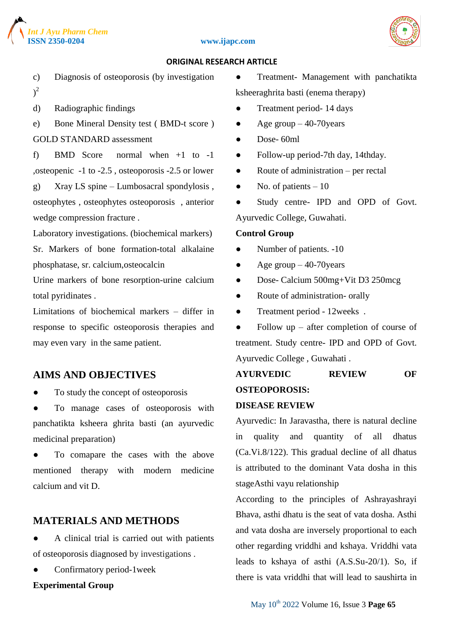

#### **ISSN 2350-0204 www.ijapc.com**



#### **ORIGINAL RESEARCH ARTICLE**

- c) Diagnosis of osteoporosis (by investigation  $)^2$
- d) Radiographic findings
- e) Bone Mineral Density test ( BMD-t score ) GOLD STANDARD assessment

f) BMD Score normal when +1 to -1 ,osteopenic -1 to -2.5 , osteoporosis -2.5 or lower g) Xray LS spine – Lumbosacral spondylosis , osteophytes , osteophytes osteoporosis , anterior wedge compression fracture .

Laboratory investigations. (biochemical markers) Sr. Markers of bone formation-total alkalaine phosphatase, sr. calcium,osteocalcin

Urine markers of bone resorption-urine calcium total pyridinates .

Limitations of biochemical markers – differ in response to specific osteoporosis therapies and may even vary in the same patient.

# **AIMS AND OBJECTIVES**

- To study the concept of osteoporosis
- To manage cases of osteoporosis with panchatikta ksheera ghrita basti (an ayurvedic medicinal preparation)

To comapare the cases with the above mentioned therapy with modern medicine calcium and vit D.

# **MATERIALS AND METHODS**

- A clinical trial is carried out with patients of osteoporosis diagnosed by investigations .
- Confirmatory period-1week

#### **Experimental Group**

● Treatment- Management with panchatikta ksheeraghrita basti (enema therapy)

- Treatment period- 14 days
- Age group  $-40-70$  years
- $\bullet$  Dose- 60ml
- Follow-up period-7th day, 14thday.
- Route of administration per rectal
- $\bullet$  No. of patients  $-10$
- Study centre- IPD and OPD of Govt. Ayurvedic College, Guwahati.

#### **Control Group**

- Number of patients. -10
- Age group  $-40-70$  years
- Dose- Calcium 500mg+Vit D3 250mcg
- Route of administration- orally
- Treatment period 12weeks.
- $\bullet$  Follow up after completion of course of treatment. Study centre- IPD and OPD of Govt. Ayurvedic College , Guwahati .

# **AYURVEDIC REVIEW OF OSTEOPOROSIS:**

## **DISEASE REVIEW**

Ayurvedic: In Jaravastha, there is natural decline in quality and quantity of all dhatus (Ca.Vi.8/122). This gradual decline of all dhatus is attributed to the dominant Vata dosha in this stageAsthi vayu relationship

According to the principles of Ashrayashrayi Bhava, asthi dhatu is the seat of vata dosha. Asthi and vata dosha are inversely proportional to each other regarding vriddhi and kshaya. Vriddhi vata leads to kshaya of asthi (A.S.Su-20/1). So, if there is vata vriddhi that will lead to saushirta in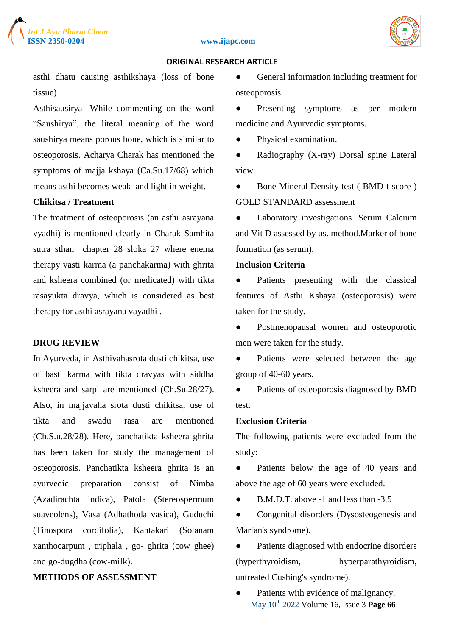

#### **ISSN 2350-0204 www.ijapc.com**



#### **ORIGINAL RESEARCH ARTICLE**

asthi dhatu causing asthikshaya (loss of bone tissue)

Asthisausirya- While commenting on the word "Saushirya", the literal meaning of the word saushirya means porous bone, which is similar to osteoporosis. Acharya Charak has mentioned the symptoms of majja kshaya (Ca.Su.17/68) which means asthi becomes weak and light in weight.

## **Chikitsa / Treatment**

The treatment of osteoporosis (an asthi asrayana vyadhi) is mentioned clearly in Charak Samhita sutra sthan chapter 28 sloka 27 where enema therapy vasti karma (a panchakarma) with ghrita and ksheera combined (or medicated) with tikta rasayukta dravya, which is considered as best therapy for asthi asrayana vayadhi .

# **DRUG REVIEW**

In Ayurveda, in Asthivahasrota dusti chikitsa, use of basti karma with tikta dravyas with siddha ksheera and sarpi are mentioned (Ch.Su.28/27). Also, in majjavaha srota dusti chikitsa, use of tikta and swadu rasa are mentioned (Ch.S.u.28/28). Here, panchatikta ksheera ghrita has been taken for study the management of osteoporosis. Panchatikta ksheera ghrita is an ayurvedic preparation consist of Nimba (Azadirachta indica), Patola (Stereospermum suaveolens), Vasa (Adhathoda vasica), Guduchi (Tinospora cordifolia), Kantakari (Solanam xanthocarpum , triphala , go- ghrita (cow ghee) and go-dugdha (cow-milk).

# **METHODS OF ASSESSMENT**

● General information including treatment for osteoporosis.

• Presenting symptoms as per modern medicine and Ayurvedic symptoms.

● Physical examination.

• Radiography (X-ray) Dorsal spine Lateral view.

● Bone Mineral Density test (BMD-t score) GOLD STANDARD assessment

● Laboratory investigations. Serum Calcium and Vit D assessed by us. method.Marker of bone formation (as serum).

# **Inclusion Criteria**

Patients presenting with the classical features of Asthi Kshaya (osteoporosis) were taken for the study.

● Postmenopausal women and osteoporotic men were taken for the study.

Patients were selected between the age group of 40-60 years.

• Patients of osteoporosis diagnosed by BMD test.

# **Exclusion Criteria**

The following patients were excluded from the study:

● Patients below the age of 40 years and above the age of 60 years were excluded.

● B.M.D.T. above -1 and less than -3.5

• Congenital disorders (Dysosteogenesis and Marfan's syndrome).

● Patients diagnosed with endocrine disorders (hyperthyroidism, hyperparathyroidism, untreated Cushing's syndrome).

May 10th 2022 Volume 16, Issue 3 **Page 66** Patients with evidence of malignancy.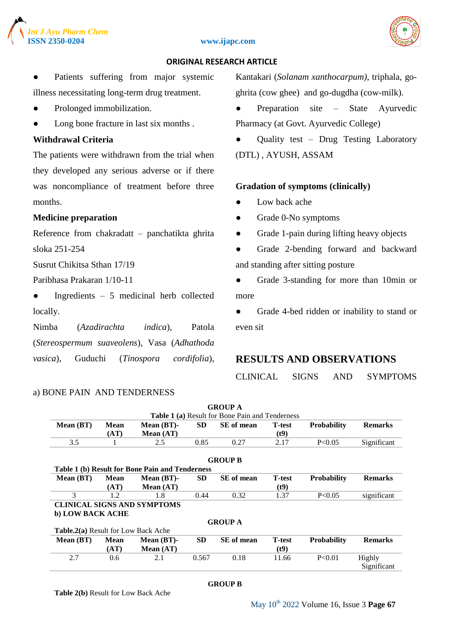





Patients suffering from major systemic illness necessitating long-term drug treatment.

- Prolonged immobilization.
- Long bone fracture in last six months.

# **Withdrawal Criteria**

The patients were withdrawn from the trial when they developed any serious adverse or if there was noncompliance of treatment before three months.

## **Medicine preparation**

Reference from chakradatt – panchatikta ghrita sloka 251-254

Susrut Chikitsa Sthan 17/19

Paribhasa Prakaran 1/10-11

 $\bullet$  Ingredients – 5 medicinal herb collected locally.

Nimba (*Azadirachta indica*), Patola (*Stereospermum suaveolens*), Vasa (*Adhathoda vasica*), Guduchi (*Tinospora cordifolia*),

#### a) BONE PAIN AND TENDERNESS

Kantakari (*Solanam xanthocarpum)*, triphala, goghrita (cow ghee) and go-dugdha (cow-milk).

- Preparation site State Ayurvedic Pharmacy (at Govt. Ayurvedic College)
- Quality test Drug Testing Laboratory (DTL) , AYUSH, ASSAM

#### **Gradation of symptoms (clinically)**

- Low back ache
- Grade 0-No symptoms
- Grade 1-pain during lifting heavy objects
- Grade 2-bending forward and backward and standing after sitting posture
- Grade 3-standing for more than 10min or more

• Grade 4-bed ridden or inability to stand or even sit

# **RESULTS AND OBSERVATIONS**

CLINICAL SIGNS AND SYMPTOMS

|                                            |             |                                                 |           | <b>GROUP A</b>                                  |                |                    |                |
|--------------------------------------------|-------------|-------------------------------------------------|-----------|-------------------------------------------------|----------------|--------------------|----------------|
|                                            |             |                                                 |           | Table 1 (a) Result for Bone Pain and Tenderness |                |                    |                |
| Mean (BT)                                  | Mean        | Mean $(BT)$ -                                   | <b>SD</b> | <b>SE</b> of mean                               | <b>T</b> -test | <b>Probability</b> | <b>Remarks</b> |
|                                            | (AT)        | Mean $(AT)$                                     |           |                                                 | (t9)           |                    |                |
| 3.5                                        |             | 2.5                                             | 0.85      | 0.27                                            | 2.17           | P<0.05             | Significant    |
|                                            |             |                                                 |           | <b>GROUP B</b>                                  |                |                    |                |
|                                            |             | Table 1 (b) Result for Bone Pain and Tenderness |           |                                                 |                |                    |                |
| Mean (BT)                                  | <b>Mean</b> | Mean $(BT)$ -                                   | <b>SD</b> | SE of mean                                      | <b>T</b> -test | <b>Probability</b> | <b>Remarks</b> |
|                                            | (AT)        | Mean $(AT)$                                     |           |                                                 | (t9)           |                    |                |
| 3                                          | 1.2         | 1.8                                             | 0.44      | 0.32                                            | 1.37           | P<0.05             | significant    |
|                                            |             | <b>CLINICAL SIGNS AND SYMPTOMS</b>              |           |                                                 |                |                    |                |
| b) LOW BACK ACHE                           |             |                                                 |           |                                                 |                |                    |                |
|                                            |             |                                                 |           | <b>GROUP A</b>                                  |                |                    |                |
| <b>Table.2(a)</b> Result for Low Back Ache |             |                                                 |           |                                                 |                |                    |                |
| Mean(BT)                                   | <b>Mean</b> | Mean $(BT)$ -                                   | <b>SD</b> | SE of mean                                      | <b>T</b> -test | <b>Probability</b> | <b>Remarks</b> |
|                                            | (AT)        | Mean $(AT)$                                     |           |                                                 | (t9)           |                    |                |
| 2.7                                        | 0.6         | 2.1                                             | 0.567     | 0.18                                            | 11.66          | P<0.01             | Highly         |
|                                            |             |                                                 |           |                                                 |                |                    | Significant    |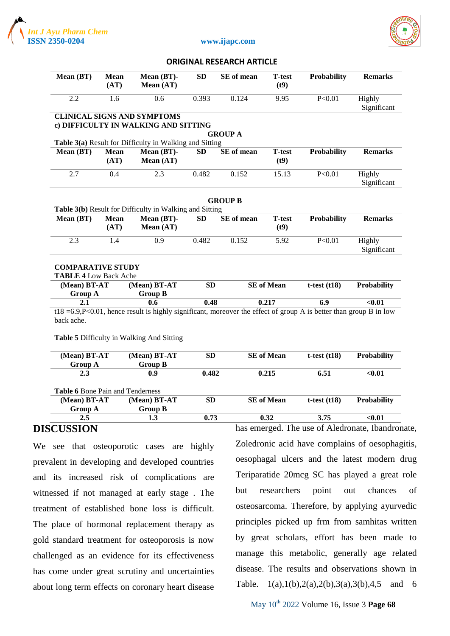



#### **ISSN 2350-0204 www.ijapc.com**

 **ORIGINAL RESEARCH ARTICLE**

| Mean (BT)                                                | <b>Mean</b><br>(AT) | Mean $(BT)$ -<br>Mean $(AT)$                                               | SD        | SE of mean     | <b>T</b> -test<br>(t9) | <b>Probability</b> | <b>Remarks</b>        |
|----------------------------------------------------------|---------------------|----------------------------------------------------------------------------|-----------|----------------|------------------------|--------------------|-----------------------|
| 2.2                                                      | 1.6                 | 0.6                                                                        | 0.393     | 0.124          | 9.95                   | P<0.01             | Highly<br>Significant |
|                                                          |                     | <b>CLINICAL SIGNS AND SYMPTOMS</b><br>c) DIFFICULTY IN WALKING AND SITTING |           |                |                        |                    |                       |
|                                                          |                     |                                                                            |           | <b>GROUP A</b> |                        |                    |                       |
|                                                          |                     | Table 3(a) Result for Difficulty in Walking and Sitting                    |           |                |                        |                    |                       |
| Mean (BT)                                                | <b>Mean</b><br>(AT) | Mean (BT)-<br>Mean $(AT)$                                                  | SD        | SE of mean     | <b>T</b> -test<br>(t9) | <b>Probability</b> | <b>Remarks</b>        |
| 2.7                                                      | 0.4                 | 2.3                                                                        | 0.482     | 0.152          | 15.13                  | P<0.01             | Highly<br>Significant |
|                                                          |                     | Table 3(b) Result for Difficulty in Walking and Sitting                    |           | <b>GROUP B</b> |                        |                    |                       |
| Mean $(BT)$                                              | <b>Mean</b><br>(AT) | Mean (BT)-<br>Mean $(AT)$                                                  | <b>SD</b> | SE of mean     | <b>T-test</b><br>(t9)  | <b>Probability</b> | <b>Remarks</b>        |
| 2.3                                                      | 1.4                 | 0.9                                                                        | 0.482     | 0.152          | 5.92                   | P<0.01             | Highly<br>Significant |
| <b>COMPARATIVE STUDY</b><br><b>TABLE 4 Low Back Ache</b> |                     |                                                                            |           |                |                        |                    |                       |
| (Mean) BT-AT                                             |                     | (Mean) BT-AT                                                               | <b>SD</b> |                | <b>SE</b> of Mean      | t-test $(t18)$     | <b>Probability</b>    |
| <b>Group A</b>                                           |                     | <b>Group B</b>                                                             |           |                |                        |                    |                       |
| 2.1                                                      |                     | 0.6                                                                        | 0.48      |                | 0.217                  | 6.9                | $0.01$                |

t18 = 6.9, P<0.01, hence result is highly significant, moreover the effect of group A is better than group B in low back ache.

**Table 5** Difficulty in Walking And Sitting

| (Mean) BT-AT<br><b>Group A</b>          | $(Mean) BT-AT$<br><b>Group B</b> | SD        | <b>SE</b> of Mean | t-test $(t18)$ | <b>Probability</b> |
|-----------------------------------------|----------------------------------|-----------|-------------------|----------------|--------------------|
| 2.3                                     | 0.9                              | 0.482     | 0.215             | 6.51           | < 0.01             |
|                                         |                                  |           |                   |                |                    |
| <b>Table 6 Bone Pain and Tenderness</b> |                                  |           |                   |                |                    |
| (Mean) BT-AT                            | $(Mean) BT-AT$                   | <b>SD</b> | <b>SE</b> of Mean | t-test $(t18)$ | <b>Probability</b> |
| <b>Group A</b>                          | <b>Group B</b>                   |           |                   |                |                    |

# **DISCUSSION**

We see that osteoporotic cases are highly prevalent in developing and developed countries and its increased risk of complications are witnessed if not managed at early stage . The treatment of established bone loss is difficult. The place of hormonal replacement therapy as gold standard treatment for osteoporosis is now challenged as an evidence for its effectiveness has come under great scrutiny and uncertainties about long term effects on coronary heart disease

has emerged. The use of Aledronate, Ibandronate, Zoledronic acid have complains of oesophagitis, oesophagal ulcers and the latest modern drug Teriparatide 20mcg SC has played a great role but researchers point out chances of osteosarcoma. Therefore, by applying ayurvedic principles picked up frm from samhitas written by great scholars, effort has been made to manage this metabolic, generally age related disease. The results and observations shown in Table. 1(a),1(b),2(a),2(b),3(a),3(b),4,5 and 6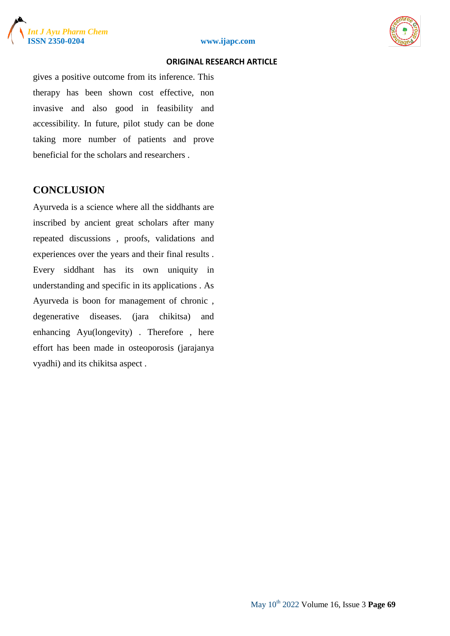



gives a positive outcome from its inference. This therapy has been shown cost effective, non invasive and also good in feasibility and accessibility. In future, pilot study can be done taking more number of patients and prove beneficial for the scholars and researchers .

# **CONCLUSION**

Ayurveda is a science where all the siddhants are inscribed by ancient great scholars after many repeated discussions , proofs, validations and experiences over the years and their final results . Every siddhant has its own uniquity in understanding and specific in its applications . As Ayurveda is boon for management of chronic , degenerative diseases. (jara chikitsa) and enhancing Ayu(longevity) . Therefore , here effort has been made in osteoporosis (jarajanya vyadhi) and its chikitsa aspect .